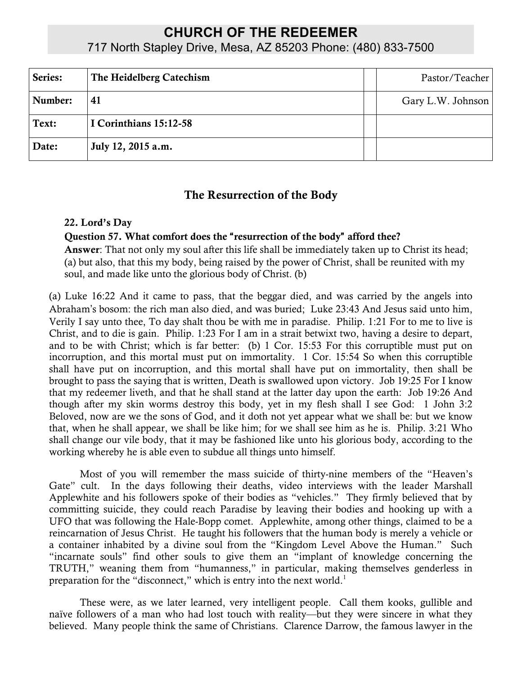# **CHURCH OF THE REDEEMER**

717 North Stapley Drive, Mesa, AZ 85203 Phone: (480) 833-7500

| Series: | The Heidelberg Catechism | Pastor/Teacher    |
|---------|--------------------------|-------------------|
| Number: | 41                       | Gary L.W. Johnson |
| Text:   | I Corinthians 15:12-58   |                   |
| Date:   | July 12, 2015 a.m.       |                   |

## The Resurrection of the Body

#### 22. Lord's Day

#### Question 57. What comfort does the "resurrection of the body" afford thee?

Answer: That not only my soul after this life shall be immediately taken up to Christ its head; (a) but also, that this my body, being raised by the power of Christ, shall be reunited with my soul, and made like unto the glorious body of Christ. (b)

(a) Luke 16:22 And it came to pass, that the beggar died, and was carried by the angels into Abraham's bosom: the rich man also died, and was buried; Luke 23:43 And Jesus said unto him, Verily I say unto thee, To day shalt thou be with me in paradise. Philip. 1:21 For to me to live is Christ, and to die is gain. Philip. 1:23 For I am in a strait betwixt two, having a desire to depart, and to be with Christ; which is far better: (b) 1 Cor. 15:53 For this corruptible must put on incorruption, and this mortal must put on immortality. 1 Cor. 15:54 So when this corruptible shall have put on incorruption, and this mortal shall have put on immortality, then shall be brought to pass the saying that is written, Death is swallowed upon victory. Job 19:25 For I know that my redeemer liveth, and that he shall stand at the latter day upon the earth: Job 19:26 And though after my skin worms destroy this body, yet in my flesh shall I see God: 1 John 3:2 Beloved, now are we the sons of God, and it doth not yet appear what we shall be: but we know that, when he shall appear, we shall be like him; for we shall see him as he is. Philip. 3:21 Who shall change our vile body, that it may be fashioned like unto his glorious body, according to the working whereby he is able even to subdue all things unto himself.

Most of you will remember the mass suicide of thirty-nine members of the "Heaven's Gate" cult. In the days following their deaths, video interviews with the leader Marshall Applewhite and his followers spoke of their bodies as "vehicles." They firmly believed that by committing suicide, they could reach Paradise by leaving their bodies and hooking up with a UFO that was following the Hale-Bopp comet. Applewhite, among other things, claimed to be a reincarnation of Jesus Christ. He taught his followers that the human body is merely a vehicle or a container inhabited by a divine soul from the "Kingdom Level Above the Human." Such "incarnate souls" find other souls to give them an "implant of knowledge concerning the TRUTH," weaning them from "humanness," in particular, making themselves genderless in preparation for the "disconnect," which is entry into the next world.<sup>1</sup>

These were, as we later learned, very intelligent people. Call them kooks, gullible and naïve followers of a man who had lost touch with reality—but they were sincere in what they believed. Many people think the same of Christians. Clarence Darrow, the famous lawyer in the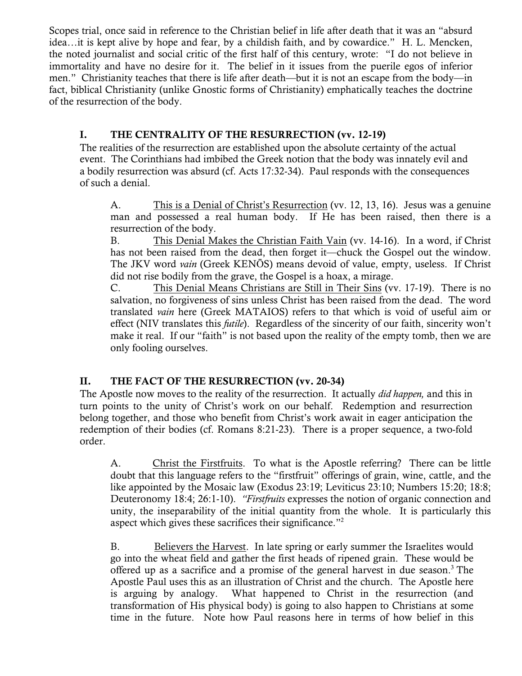Scopes trial, once said in reference to the Christian belief in life after death that it was an "absurd idea…it is kept alive by hope and fear, by a childish faith, and by cowardice." H. L. Mencken, the noted journalist and social critic of the first half of this century, wrote: "I do not believe in immortality and have no desire for it. The belief in it issues from the puerile egos of inferior men." Christianity teaches that there is life after death—but it is not an escape from the body—in fact, biblical Christianity (unlike Gnostic forms of Christianity) emphatically teaches the doctrine of the resurrection of the body.

### I. THE CENTRALITY OF THE RESURRECTION (vv. 12-19)

The realities of the resurrection are established upon the absolute certainty of the actual event. The Corinthians had imbibed the Greek notion that the body was innately evil and a bodily resurrection was absurd (cf. Acts 17:32-34). Paul responds with the consequences of such a denial.

A. This is a Denial of Christ's Resurrection (vv. 12, 13, 16). Jesus was a genuine man and possessed a real human body. If He has been raised, then there is a resurrection of the body.

B. This Denial Makes the Christian Faith Vain (vv. 14-16). In a word, if Christ has not been raised from the dead, then forget it—chuck the Gospel out the window. The JKV word *vain* (Greek KENŌS) means devoid of value, empty, useless. If Christ did not rise bodily from the grave, the Gospel is a hoax, a mirage.

C. This Denial Means Christians are Still in Their Sins (vv. 17-19). There is no salvation, no forgiveness of sins unless Christ has been raised from the dead. The word translated *vain* here (Greek MATAIOS) refers to that which is void of useful aim or effect (NIV translates this *futile*). Regardless of the sincerity of our faith, sincerity won't make it real. If our "faith" is not based upon the reality of the empty tomb, then we are only fooling ourselves.

## II. THE FACT OF THE RESURRECTION (vv. 20-34)

The Apostle now moves to the reality of the resurrection. It actually *did happen,* and this in turn points to the unity of Christ's work on our behalf. Redemption and resurrection belong together, and those who benefit from Christ's work await in eager anticipation the redemption of their bodies (cf. Romans 8:21-23). There is a proper sequence, a two-fold order.

A. Christ the Firstfruits. To what is the Apostle referring? There can be little doubt that this language refers to the "firstfruit" offerings of grain, wine, cattle, and the like appointed by the Mosaic law (Exodus 23:19; Leviticus 23:10; Numbers 15:20; 18:8; Deuteronomy 18:4; 26:1-10). *"Firstfruits* expresses the notion of organic connection and unity, the inseparability of the initial quantity from the whole. It is particularly this aspect which gives these sacrifices their significance."2

B. Believers the Harvest. In late spring or early summer the Israelites would go into the wheat field and gather the first heads of ripened grain. These would be offered up as a sacrifice and a promise of the general harvest in due season.<sup>3</sup> The Apostle Paul uses this as an illustration of Christ and the church. The Apostle here is arguing by analogy. What happened to Christ in the resurrection (and transformation of His physical body) is going to also happen to Christians at some time in the future. Note how Paul reasons here in terms of how belief in this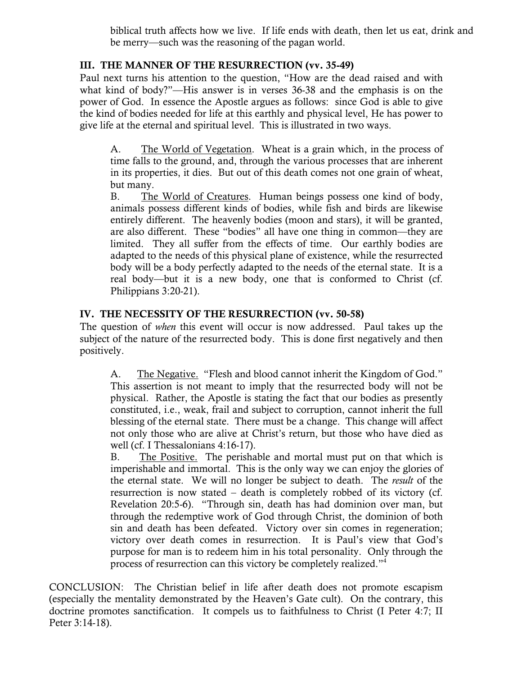biblical truth affects how we live. If life ends with death, then let us eat, drink and be merry—such was the reasoning of the pagan world.

#### III. THE MANNER OF THE RESURRECTION (vv. 35-49)

Paul next turns his attention to the question, "How are the dead raised and with what kind of body?"—His answer is in verses 36-38 and the emphasis is on the power of God. In essence the Apostle argues as follows: since God is able to give the kind of bodies needed for life at this earthly and physical level, He has power to give life at the eternal and spiritual level. This is illustrated in two ways.

A. The World of Vegetation. Wheat is a grain which, in the process of time falls to the ground, and, through the various processes that are inherent in its properties, it dies. But out of this death comes not one grain of wheat, but many.

B. The World of Creatures. Human beings possess one kind of body, animals possess different kinds of bodies, while fish and birds are likewise entirely different. The heavenly bodies (moon and stars), it will be granted, are also different. These "bodies" all have one thing in common—they are limited. They all suffer from the effects of time. Our earthly bodies are adapted to the needs of this physical plane of existence, while the resurrected body will be a body perfectly adapted to the needs of the eternal state. It is a real body—but it is a new body, one that is conformed to Christ (cf. Philippians 3:20-21).

#### IV. THE NECESSITY OF THE RESURRECTION (vv. 50-58)

The question of *when* this event will occur is now addressed. Paul takes up the subject of the nature of the resurrected body. This is done first negatively and then positively.

A. The Negative. "Flesh and blood cannot inherit the Kingdom of God." This assertion is not meant to imply that the resurrected body will not be physical. Rather, the Apostle is stating the fact that our bodies as presently constituted, i.e., weak, frail and subject to corruption, cannot inherit the full blessing of the eternal state. There must be a change. This change will affect not only those who are alive at Christ's return, but those who have died as well (cf. I Thessalonians 4:16-17).

B. The Positive. The perishable and mortal must put on that which is imperishable and immortal. This is the only way we can enjoy the glories of the eternal state. We will no longer be subject to death. The *result* of the resurrection is now stated – death is completely robbed of its victory (cf. Revelation 20:5-6). "Through sin, death has had dominion over man, but through the redemptive work of God through Christ, the dominion of both sin and death has been defeated. Victory over sin comes in regeneration; victory over death comes in resurrection. It is Paul's view that God's purpose for man is to redeem him in his total personality. Only through the process of resurrection can this victory be completely realized."4

CONCLUSION: The Christian belief in life after death does not promote escapism (especially the mentality demonstrated by the Heaven's Gate cult). On the contrary, this doctrine promotes sanctification. It compels us to faithfulness to Christ (I Peter 4:7; II Peter 3:14-18).